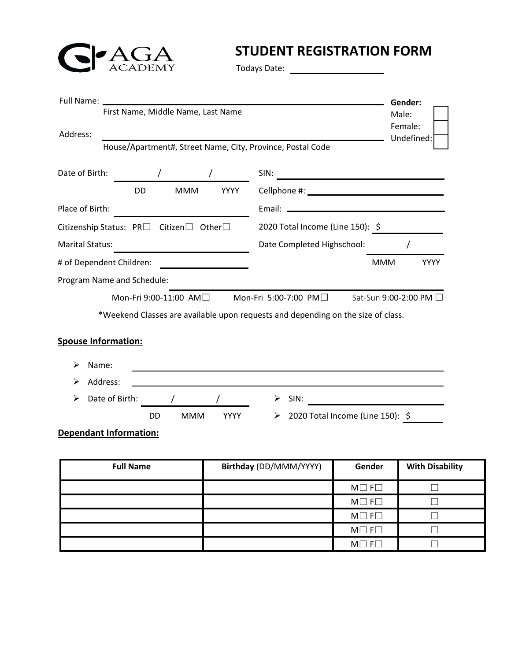

## **STUDENT REGISTRATION FORM**

Todays Date:

| Full Name:                                                                                       |                                                                                                                                                                                                                                                                                                                     |                                                                                                                         |                                                                                                                                                                                                                                                 |                                  | Gender:                |  |
|--------------------------------------------------------------------------------------------------|---------------------------------------------------------------------------------------------------------------------------------------------------------------------------------------------------------------------------------------------------------------------------------------------------------------------|-------------------------------------------------------------------------------------------------------------------------|-------------------------------------------------------------------------------------------------------------------------------------------------------------------------------------------------------------------------------------------------|----------------------------------|------------------------|--|
| First Name, Middle Name, Last Name<br>Address:                                                   |                                                                                                                                                                                                                                                                                                                     |                                                                                                                         |                                                                                                                                                                                                                                                 |                                  | Male:<br>Female:       |  |
|                                                                                                  | House/Apartment#, Street Name, City, Province, Postal Code                                                                                                                                                                                                                                                          |                                                                                                                         |                                                                                                                                                                                                                                                 |                                  | Undefined:             |  |
| Date of Birth:                                                                                   | $\frac{1}{2}$ $\frac{1}{2}$ $\frac{1}{2}$ $\frac{1}{2}$ $\frac{1}{2}$ $\frac{1}{2}$ $\frac{1}{2}$ $\frac{1}{2}$ $\frac{1}{2}$ $\frac{1}{2}$ $\frac{1}{2}$ $\frac{1}{2}$ $\frac{1}{2}$ $\frac{1}{2}$ $\frac{1}{2}$ $\frac{1}{2}$ $\frac{1}{2}$ $\frac{1}{2}$ $\frac{1}{2}$ $\frac{1}{2}$ $\frac{1}{2}$ $\frac{1}{2}$ |                                                                                                                         |                                                                                                                                                                                                                                                 |                                  |                        |  |
|                                                                                                  | <b>DD</b><br><b>MMM</b>                                                                                                                                                                                                                                                                                             | <b>YYYY</b>                                                                                                             | SIN:                                                                                                                                                                                                                                            |                                  |                        |  |
| Place of Birth:                                                                                  |                                                                                                                                                                                                                                                                                                                     |                                                                                                                         |                                                                                                                                                                                                                                                 |                                  |                        |  |
|                                                                                                  |                                                                                                                                                                                                                                                                                                                     |                                                                                                                         |                                                                                                                                                                                                                                                 |                                  |                        |  |
|                                                                                                  | Citizenship Status: $PR\Box$ Citizen $\Box$ Other $\Box$                                                                                                                                                                                                                                                            |                                                                                                                         |                                                                                                                                                                                                                                                 | 2020 Total Income (Line 150): 5  |                        |  |
| <b>Marital Status:</b>                                                                           | <u> 1980 - Johann Barbara, martxa al</u>                                                                                                                                                                                                                                                                            |                                                                                                                         | Date Completed Highschool:                                                                                                                                                                                                                      |                                  |                        |  |
|                                                                                                  | # of Dependent Children:                                                                                                                                                                                                                                                                                            | <u> 1989 - Johann Barn, mars et al. 1989 - Johann Barn, mars et al. 1989 - Johann Barn, mars et al. 1989 - Johann B</u> |                                                                                                                                                                                                                                                 | <b>MMM</b>                       | <b>YYYY</b>            |  |
| Program Name and Schedule:                                                                       |                                                                                                                                                                                                                                                                                                                     |                                                                                                                         |                                                                                                                                                                                                                                                 |                                  |                        |  |
|                                                                                                  | Mon-Fri 9:00-11:00 AM□                                                                                                                                                                                                                                                                                              |                                                                                                                         | Mon-Fri 5:00-7:00 PM□                                                                                                                                                                                                                           |                                  | Sat-Sun 9:00-2:00 PM □ |  |
| <b>Spouse Information:</b><br>Name:<br>Address:<br>Date of Birth:<br>➤<br>Dependant Information: | <b>MMM</b><br>DD                                                                                                                                                                                                                                                                                                    | <b>YYYY</b>                                                                                                             | the control of the control of the control of the control of the control of the control of the control of the control of the control of the control of the control of the control of the control of the control of the control<br>SIN:<br>≻<br>≻ | 2020 Total Income (Line 150): \$ |                        |  |
|                                                                                                  | <b>Full Name</b>                                                                                                                                                                                                                                                                                                    |                                                                                                                         | Birthday (DD/MMM/YYYY)                                                                                                                                                                                                                          | Gender                           | <b>With Disability</b> |  |
|                                                                                                  |                                                                                                                                                                                                                                                                                                                     |                                                                                                                         |                                                                                                                                                                                                                                                 | $M \Box F \Box$                  |                        |  |
|                                                                                                  |                                                                                                                                                                                                                                                                                                                     |                                                                                                                         |                                                                                                                                                                                                                                                 | $M \Box F \Box$                  | $\Box$                 |  |
|                                                                                                  |                                                                                                                                                                                                                                                                                                                     |                                                                                                                         |                                                                                                                                                                                                                                                 | $M \Box F \Box$                  | $\Box$                 |  |
|                                                                                                  |                                                                                                                                                                                                                                                                                                                     |                                                                                                                         |                                                                                                                                                                                                                                                 | $M \square$ F $\square$          | $\Box$                 |  |
|                                                                                                  |                                                                                                                                                                                                                                                                                                                     |                                                                                                                         |                                                                                                                                                                                                                                                 | $M \Box F \Box$                  | $\Box$                 |  |